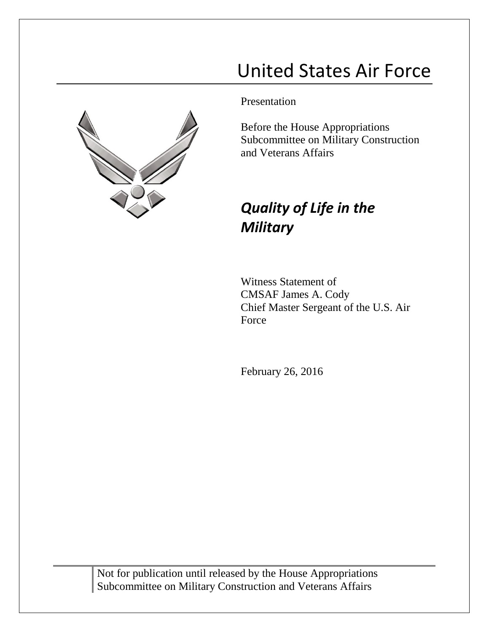# United States Air Force



Presentation

Before the House Appropriations Subcommittee on Military Construction and Veterans Affairs

## *Quality of Life in the Military*

Witness Statement of CMSAF James A. Cody Chief Master Sergeant of the U.S. Air Force

February 26, 2016

Not for publication until released by the House Appropriations Subcommittee on Military Construction and Veterans Affairs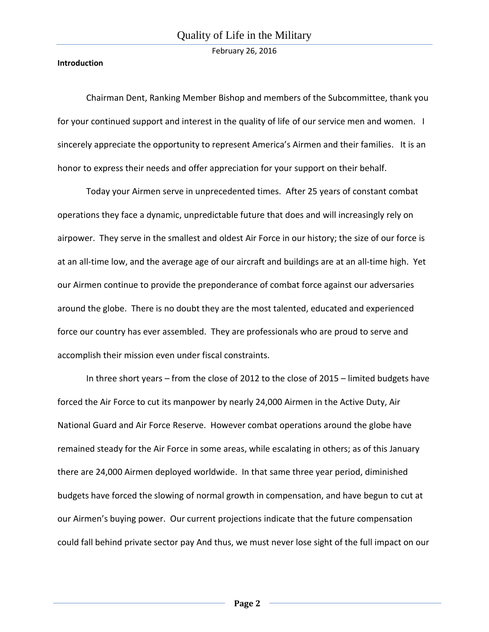#### **Introduction**

Chairman Dent, Ranking Member Bishop and members of the Subcommittee, thank you for your continued support and interest in the quality of life of our service men and women. I sincerely appreciate the opportunity to represent America's Airmen and their families. It is an honor to express their needs and offer appreciation for your support on their behalf.

Today your Airmen serve in unprecedented times. After 25 years of constant combat operations they face a dynamic, unpredictable future that does and will increasingly rely on airpower. They serve in the smallest and oldest Air Force in our history; the size of our force is at an all-time low, and the average age of our aircraft and buildings are at an all-time high. Yet our Airmen continue to provide the preponderance of combat force against our adversaries around the globe. There is no doubt they are the most talented, educated and experienced force our country has ever assembled. They are professionals who are proud to serve and accomplish their mission even under fiscal constraints.

In three short years – from the close of 2012 to the close of 2015 – limited budgets have forced the Air Force to cut its manpower by nearly 24,000 Airmen in the Active Duty, Air National Guard and Air Force Reserve. However combat operations around the globe have remained steady for the Air Force in some areas, while escalating in others; as of this January there are 24,000 Airmen deployed worldwide. In that same three year period, diminished budgets have forced the slowing of normal growth in compensation, and have begun to cut at our Airmen's buying power. Our current projections indicate that the future compensation could fall behind private sector pay And thus, we must never lose sight of the full impact on our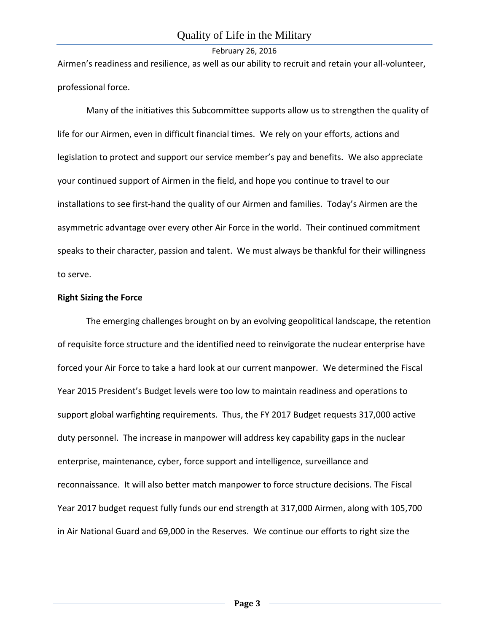Airmen's readiness and resilience, as well as our ability to recruit and retain your all-volunteer, professional force.

Many of the initiatives this Subcommittee supports allow us to strengthen the quality of life for our Airmen, even in difficult financial times. We rely on your efforts, actions and legislation to protect and support our service member's pay and benefits. We also appreciate your continued support of Airmen in the field, and hope you continue to travel to our installations to see first-hand the quality of our Airmen and families. Today's Airmen are the asymmetric advantage over every other Air Force in the world. Their continued commitment speaks to their character, passion and talent. We must always be thankful for their willingness to serve.

#### **Right Sizing the Force**

The emerging challenges brought on by an evolving geopolitical landscape, the retention of requisite force structure and the identified need to reinvigorate the nuclear enterprise have forced your Air Force to take a hard look at our current manpower. We determined the Fiscal Year 2015 President's Budget levels were too low to maintain readiness and operations to support global warfighting requirements. Thus, the FY 2017 Budget requests 317,000 active duty personnel. The increase in manpower will address key capability gaps in the nuclear enterprise, maintenance, cyber, force support and intelligence, surveillance and reconnaissance. It will also better match manpower to force structure decisions. The Fiscal Year 2017 budget request fully funds our end strength at 317,000 Airmen, along with 105,700 in Air National Guard and 69,000 in the Reserves. We continue our efforts to right size the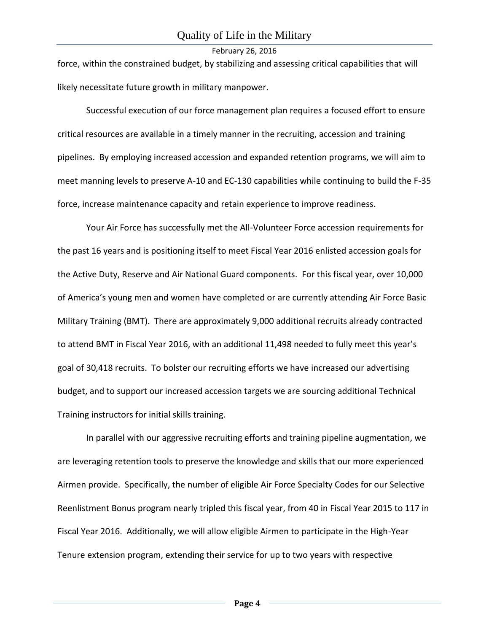force, within the constrained budget, by stabilizing and assessing critical capabilities that will likely necessitate future growth in military manpower.

Successful execution of our force management plan requires a focused effort to ensure critical resources are available in a timely manner in the recruiting, accession and training pipelines. By employing increased accession and expanded retention programs, we will aim to meet manning levels to preserve A-10 and EC-130 capabilities while continuing to build the F-35 force, increase maintenance capacity and retain experience to improve readiness.

Your Air Force has successfully met the All-Volunteer Force accession requirements for the past 16 years and is positioning itself to meet Fiscal Year 2016 enlisted accession goals for the Active Duty, Reserve and Air National Guard components. For this fiscal year, over 10,000 of America's young men and women have completed or are currently attending Air Force Basic Military Training (BMT). There are approximately 9,000 additional recruits already contracted to attend BMT in Fiscal Year 2016, with an additional 11,498 needed to fully meet this year's goal of 30,418 recruits. To bolster our recruiting efforts we have increased our advertising budget, and to support our increased accession targets we are sourcing additional Technical Training instructors for initial skills training.

In parallel with our aggressive recruiting efforts and training pipeline augmentation, we are leveraging retention tools to preserve the knowledge and skills that our more experienced Airmen provide. Specifically, the number of eligible Air Force Specialty Codes for our Selective Reenlistment Bonus program nearly tripled this fiscal year, from 40 in Fiscal Year 2015 to 117 in Fiscal Year 2016. Additionally, we will allow eligible Airmen to participate in the High-Year Tenure extension program, extending their service for up to two years with respective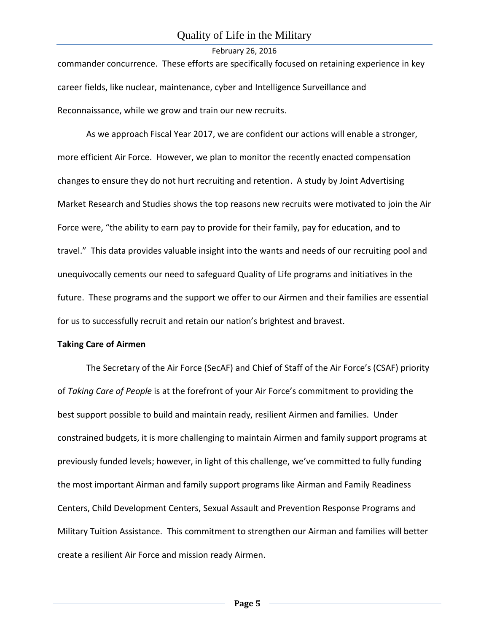commander concurrence. These efforts are specifically focused on retaining experience in key career fields, like nuclear, maintenance, cyber and Intelligence Surveillance and Reconnaissance, while we grow and train our new recruits.

As we approach Fiscal Year 2017, we are confident our actions will enable a stronger, more efficient Air Force. However, we plan to monitor the recently enacted compensation changes to ensure they do not hurt recruiting and retention. A study by Joint Advertising Market Research and Studies shows the top reasons new recruits were motivated to join the Air Force were, "the ability to earn pay to provide for their family, pay for education, and to travel." This data provides valuable insight into the wants and needs of our recruiting pool and unequivocally cements our need to safeguard Quality of Life programs and initiatives in the future. These programs and the support we offer to our Airmen and their families are essential for us to successfully recruit and retain our nation's brightest and bravest.

#### **Taking Care of Airmen**

The Secretary of the Air Force (SecAF) and Chief of Staff of the Air Force's (CSAF) priority of *Taking Care of People* is at the forefront of your Air Force's commitment to providing the best support possible to build and maintain ready, resilient Airmen and families. Under constrained budgets, it is more challenging to maintain Airmen and family support programs at previously funded levels; however, in light of this challenge, we've committed to fully funding the most important Airman and family support programs like Airman and Family Readiness Centers, Child Development Centers, Sexual Assault and Prevention Response Programs and Military Tuition Assistance. This commitment to strengthen our Airman and families will better create a resilient Air Force and mission ready Airmen.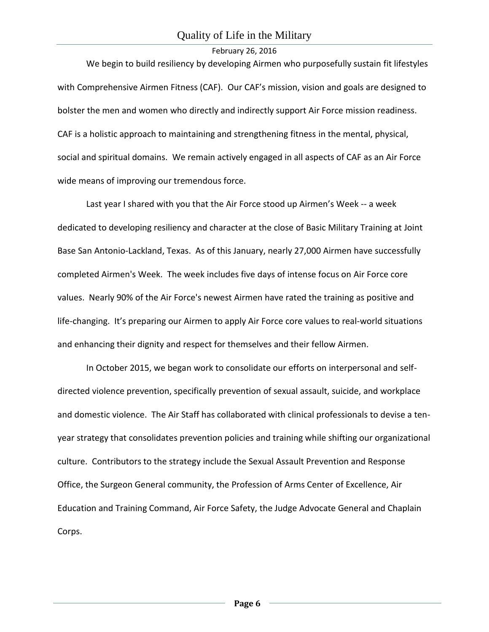We begin to build resiliency by developing Airmen who purposefully sustain fit lifestyles with Comprehensive Airmen Fitness (CAF). Our CAF's mission, vision and goals are designed to bolster the men and women who directly and indirectly support Air Force mission readiness. CAF is a holistic approach to maintaining and strengthening fitness in the mental, physical, social and spiritual domains. We remain actively engaged in all aspects of CAF as an Air Force wide means of improving our tremendous force.

Last year I shared with you that the Air Force stood up Airmen's Week -- a week dedicated to developing resiliency and character at the close of Basic Military Training at Joint Base San Antonio-Lackland, Texas. As of this January, nearly 27,000 Airmen have successfully completed Airmen's Week. The week includes five days of intense focus on Air Force core values. Nearly 90% of the Air Force's newest Airmen have rated the training as positive and life-changing. It's preparing our Airmen to apply Air Force core values to real-world situations and enhancing their dignity and respect for themselves and their fellow Airmen.

In October 2015, we began work to consolidate our efforts on interpersonal and selfdirected violence prevention, specifically prevention of sexual assault, suicide, and workplace and domestic violence. The Air Staff has collaborated with clinical professionals to devise a tenyear strategy that consolidates prevention policies and training while shifting our organizational culture. Contributors to the strategy include the Sexual Assault Prevention and Response Office, the Surgeon General community, the Profession of Arms Center of Excellence, Air Education and Training Command, Air Force Safety, the Judge Advocate General and Chaplain Corps.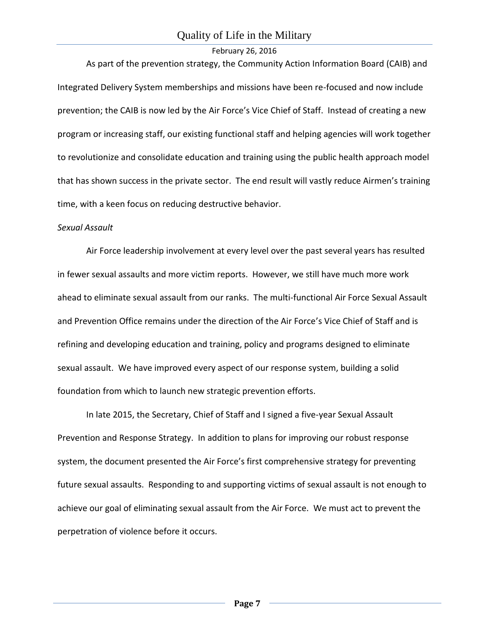As part of the prevention strategy, the Community Action Information Board (CAIB) and Integrated Delivery System memberships and missions have been re-focused and now include prevention; the CAIB is now led by the Air Force's Vice Chief of Staff. Instead of creating a new program or increasing staff, our existing functional staff and helping agencies will work together to revolutionize and consolidate education and training using the public health approach model that has shown success in the private sector. The end result will vastly reduce Airmen's training time, with a keen focus on reducing destructive behavior.

#### *Sexual Assault*

Air Force leadership involvement at every level over the past several years has resulted in fewer sexual assaults and more victim reports. However, we still have much more work ahead to eliminate sexual assault from our ranks. The multi-functional Air Force Sexual Assault and Prevention Office remains under the direction of the Air Force's Vice Chief of Staff and is refining and developing education and training, policy and programs designed to eliminate sexual assault. We have improved every aspect of our response system, building a solid foundation from which to launch new strategic prevention efforts.

In late 2015, the Secretary, Chief of Staff and I signed a five-year Sexual Assault Prevention and Response Strategy. In addition to plans for improving our robust response system, the document presented the Air Force's first comprehensive strategy for preventing future sexual assaults. Responding to and supporting victims of sexual assault is not enough to achieve our goal of eliminating sexual assault from the Air Force. We must act to prevent the perpetration of violence before it occurs.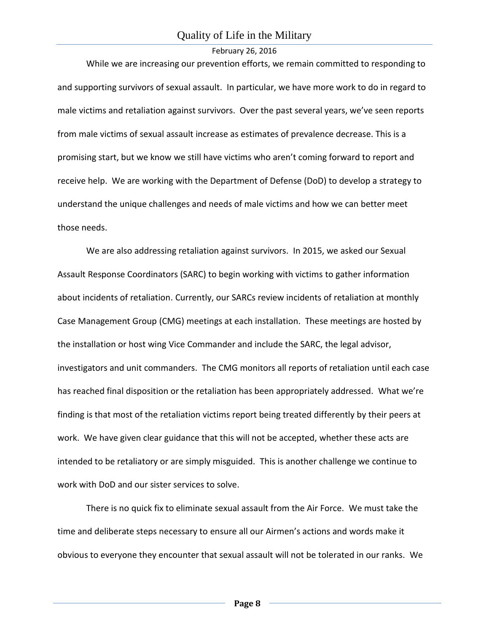While we are increasing our prevention efforts, we remain committed to responding to and supporting survivors of sexual assault. In particular, we have more work to do in regard to male victims and retaliation against survivors. Over the past several years, we've seen reports from male victims of sexual assault increase as estimates of prevalence decrease. This is a promising start, but we know we still have victims who aren't coming forward to report and receive help. We are working with the Department of Defense (DoD) to develop a strategy to understand the unique challenges and needs of male victims and how we can better meet those needs.

We are also addressing retaliation against survivors. In 2015, we asked our Sexual Assault Response Coordinators (SARC) to begin working with victims to gather information about incidents of retaliation. Currently, our SARCs review incidents of retaliation at monthly Case Management Group (CMG) meetings at each installation. These meetings are hosted by the installation or host wing Vice Commander and include the SARC, the legal advisor, investigators and unit commanders. The CMG monitors all reports of retaliation until each case has reached final disposition or the retaliation has been appropriately addressed. What we're finding is that most of the retaliation victims report being treated differently by their peers at work. We have given clear guidance that this will not be accepted, whether these acts are intended to be retaliatory or are simply misguided. This is another challenge we continue to work with DoD and our sister services to solve.

There is no quick fix to eliminate sexual assault from the Air Force. We must take the time and deliberate steps necessary to ensure all our Airmen's actions and words make it obvious to everyone they encounter that sexual assault will not be tolerated in our ranks. We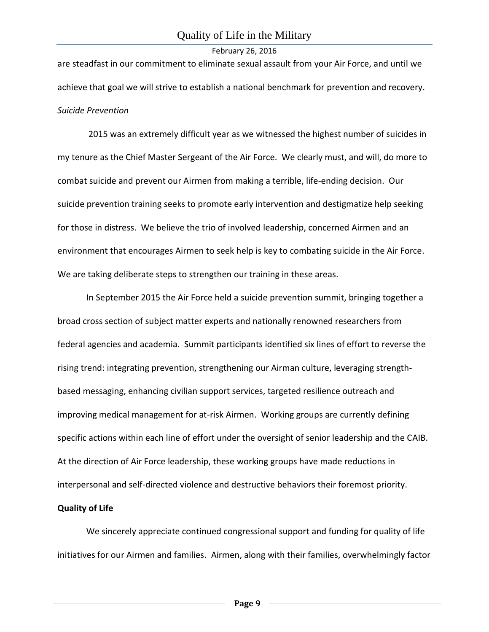are steadfast in our commitment to eliminate sexual assault from your Air Force, and until we achieve that goal we will strive to establish a national benchmark for prevention and recovery. *Suicide Prevention*

2015 was an extremely difficult year as we witnessed the highest number of suicides in my tenure as the Chief Master Sergeant of the Air Force. We clearly must, and will, do more to combat suicide and prevent our Airmen from making a terrible, life-ending decision. Our suicide prevention training seeks to promote early intervention and destigmatize help seeking for those in distress. We believe the trio of involved leadership, concerned Airmen and an environment that encourages Airmen to seek help is key to combating suicide in the Air Force. We are taking deliberate steps to strengthen our training in these areas.

In September 2015 the Air Force held a suicide prevention summit, bringing together a broad cross section of subject matter experts and nationally renowned researchers from federal agencies and academia. Summit participants identified six lines of effort to reverse the rising trend: integrating prevention, strengthening our Airman culture, leveraging strengthbased messaging, enhancing civilian support services, targeted resilience outreach and improving medical management for at-risk Airmen. Working groups are currently defining specific actions within each line of effort under the oversight of senior leadership and the CAIB. At the direction of Air Force leadership, these working groups have made reductions in interpersonal and self-directed violence and destructive behaviors their foremost priority.

## **Quality of Life**

We sincerely appreciate continued congressional support and funding for quality of life initiatives for our Airmen and families. Airmen, along with their families, overwhelmingly factor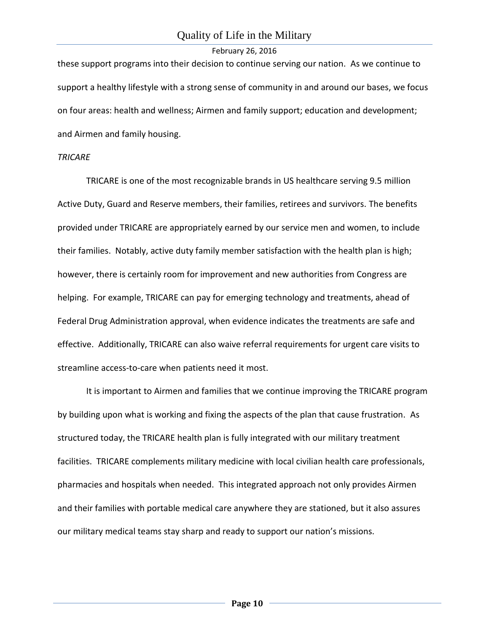these support programs into their decision to continue serving our nation. As we continue to support a healthy lifestyle with a strong sense of community in and around our bases, we focus on four areas: health and wellness; Airmen and family support; education and development; and Airmen and family housing.

#### *TRICARE*

TRICARE is one of the most recognizable brands in US healthcare serving 9.5 million Active Duty, Guard and Reserve members, their families, retirees and survivors. The benefits provided under TRICARE are appropriately earned by our service men and women, to include their families. Notably, active duty family member satisfaction with the health plan is high; however, there is certainly room for improvement and new authorities from Congress are helping. For example, TRICARE can pay for emerging technology and treatments, ahead of Federal Drug Administration approval, when evidence indicates the treatments are safe and effective. Additionally, TRICARE can also waive referral requirements for urgent care visits to streamline access-to-care when patients need it most.

It is important to Airmen and families that we continue improving the TRICARE program by building upon what is working and fixing the aspects of the plan that cause frustration. As structured today, the TRICARE health plan is fully integrated with our military treatment facilities. TRICARE complements military medicine with local civilian health care professionals, pharmacies and hospitals when needed. This integrated approach not only provides Airmen and their families with portable medical care anywhere they are stationed, but it also assures our military medical teams stay sharp and ready to support our nation's missions.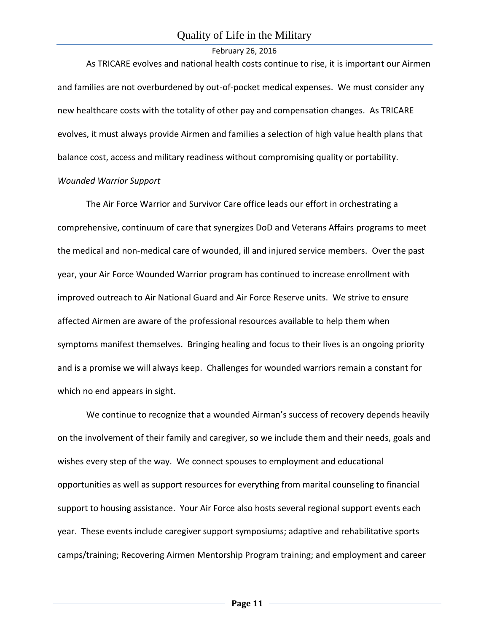As TRICARE evolves and national health costs continue to rise, it is important our Airmen and families are not overburdened by out-of-pocket medical expenses. We must consider any new healthcare costs with the totality of other pay and compensation changes. As TRICARE evolves, it must always provide Airmen and families a selection of high value health plans that balance cost, access and military readiness without compromising quality or portability.

## *Wounded Warrior Support*

The Air Force Warrior and Survivor Care office leads our effort in orchestrating a comprehensive, continuum of care that synergizes DoD and Veterans Affairs programs to meet the medical and non-medical care of wounded, ill and injured service members. Over the past year, your Air Force Wounded Warrior program has continued to increase enrollment with improved outreach to Air National Guard and Air Force Reserve units. We strive to ensure affected Airmen are aware of the professional resources available to help them when symptoms manifest themselves. Bringing healing and focus to their lives is an ongoing priority and is a promise we will always keep. Challenges for wounded warriors remain a constant for which no end appears in sight.

We continue to recognize that a wounded Airman's success of recovery depends heavily on the involvement of their family and caregiver, so we include them and their needs, goals and wishes every step of the way. We connect spouses to employment and educational opportunities as well as support resources for everything from marital counseling to financial support to housing assistance. Your Air Force also hosts several regional support events each year. These events include caregiver support symposiums; adaptive and rehabilitative sports camps/training; Recovering Airmen Mentorship Program training; and employment and career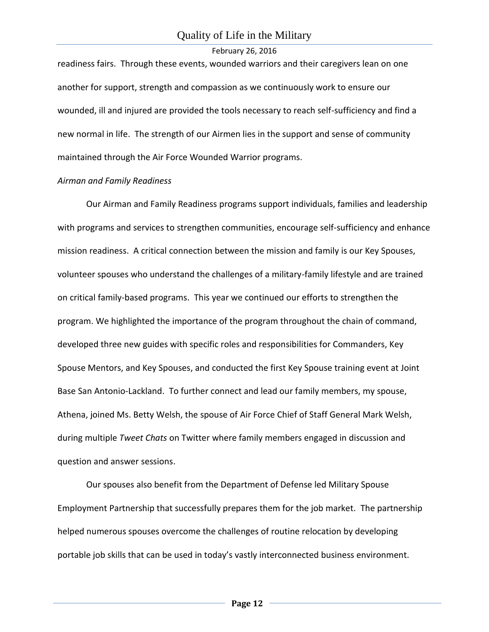readiness fairs. Through these events, wounded warriors and their caregivers lean on one another for support, strength and compassion as we continuously work to ensure our wounded, ill and injured are provided the tools necessary to reach self-sufficiency and find a new normal in life. The strength of our Airmen lies in the support and sense of community maintained through the Air Force Wounded Warrior programs.

## *Airman and Family Readiness*

Our Airman and Family Readiness programs support individuals, families and leadership with programs and services to strengthen communities, encourage self-sufficiency and enhance mission readiness. A critical connection between the mission and family is our Key Spouses, volunteer spouses who understand the challenges of a military-family lifestyle and are trained on critical family-based programs. This year we continued our efforts to strengthen the program. We highlighted the importance of the program throughout the chain of command, developed three new guides with specific roles and responsibilities for Commanders, Key Spouse Mentors, and Key Spouses, and conducted the first Key Spouse training event at Joint Base San Antonio-Lackland. To further connect and lead our family members, my spouse, Athena, joined Ms. Betty Welsh, the spouse of Air Force Chief of Staff General Mark Welsh, during multiple *Tweet Chats* on Twitter where family members engaged in discussion and question and answer sessions.

Our spouses also benefit from the Department of Defense led Military Spouse Employment Partnership that successfully prepares them for the job market. The partnership helped numerous spouses overcome the challenges of routine relocation by developing portable job skills that can be used in today's vastly interconnected business environment.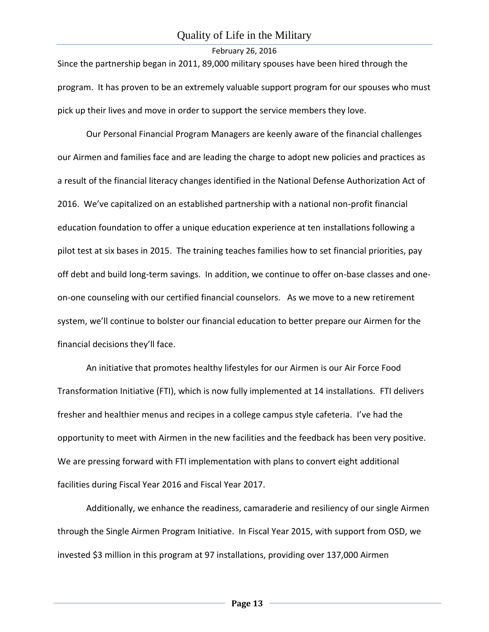Since the partnership began in 2011, 89,000 military spouses have been hired through the program. It has proven to be an extremely valuable support program for our spouses who must pick up their lives and move in order to support the service members they love.

Our Personal Financial Program Managers are keenly aware of the financial challenges our Airmen and families face and are leading the charge to adopt new policies and practices as a result of the financial literacy changes identified in the National Defense Authorization Act of 2016. We've capitalized on an established partnership with a national non-profit financial education foundation to offer a unique education experience at ten installations following a pilot test at six bases in 2015. The training teaches families how to set financial priorities, pay off debt and build long-term savings. In addition, we continue to offer on-base classes and oneon-one counseling with our certified financial counselors. As we move to a new retirement system, we'll continue to bolster our financial education to better prepare our Airmen for the financial decisions they'll face.

An initiative that promotes healthy lifestyles for our Airmen is our Air Force Food Transformation Initiative (FTI), which is now fully implemented at 14 installations. FTI delivers fresher and healthier menus and recipes in a college campus style cafeteria. I've had the opportunity to meet with Airmen in the new facilities and the feedback has been very positive. We are pressing forward with FTI implementation with plans to convert eight additional facilities during Fiscal Year 2016 and Fiscal Year 2017.

Additionally, we enhance the readiness, camaraderie and resiliency of our single Airmen through the Single Airmen Program Initiative. In Fiscal Year 2015, with support from OSD, we invested \$3 million in this program at 97 installations, providing over 137,000 Airmen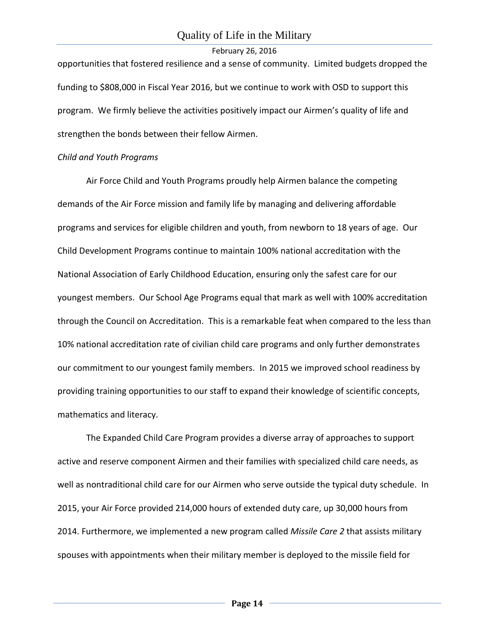opportunities that fostered resilience and a sense of community. Limited budgets dropped the funding to \$808,000 in Fiscal Year 2016, but we continue to work with OSD to support this program. We firmly believe the activities positively impact our Airmen's quality of life and strengthen the bonds between their fellow Airmen.

#### *Child and Youth Programs*

Air Force Child and Youth Programs proudly help Airmen balance the competing demands of the Air Force mission and family life by managing and delivering affordable programs and services for eligible children and youth, from newborn to 18 years of age. Our Child Development Programs continue to maintain 100% national accreditation with the National Association of Early Childhood Education, ensuring only the safest care for our youngest members. Our School Age Programs equal that mark as well with 100% accreditation through the Council on Accreditation. This is a remarkable feat when compared to the less than 10% national accreditation rate of civilian child care programs and only further demonstrates our commitment to our youngest family members. In 2015 we improved school readiness by providing training opportunities to our staff to expand their knowledge of scientific concepts, mathematics and literacy.

The Expanded Child Care Program provides a diverse array of approaches to support active and reserve component Airmen and their families with specialized child care needs, as well as nontraditional child care for our Airmen who serve outside the typical duty schedule. In 2015, your Air Force provided 214,000 hours of extended duty care, up 30,000 hours from 2014. Furthermore, we implemented a new program called *Missile Care 2* that assists military spouses with appointments when their military member is deployed to the missile field for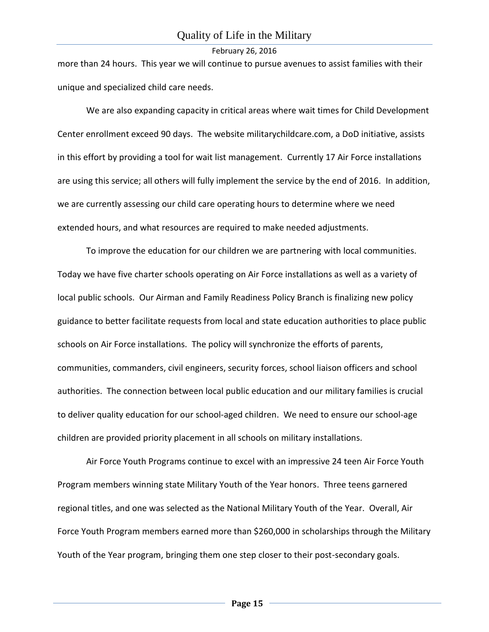more than 24 hours. This year we will continue to pursue avenues to assist families with their unique and specialized child care needs.

We are also expanding capacity in critical areas where wait times for Child Development Center enrollment exceed 90 days. The website militarychildcare.com, a DoD initiative, assists in this effort by providing a tool for wait list management. Currently 17 Air Force installations are using this service; all others will fully implement the service by the end of 2016. In addition, we are currently assessing our child care operating hours to determine where we need extended hours, and what resources are required to make needed adjustments.

To improve the education for our children we are partnering with local communities. Today we have five charter schools operating on Air Force installations as well as a variety of local public schools. Our Airman and Family Readiness Policy Branch is finalizing new policy guidance to better facilitate requests from local and state education authorities to place public schools on Air Force installations. The policy will synchronize the efforts of parents, communities, commanders, civil engineers, security forces, school liaison officers and school authorities. The connection between local public education and our military families is crucial to deliver quality education for our school-aged children. We need to ensure our school-age children are provided priority placement in all schools on military installations.

Air Force Youth Programs continue to excel with an impressive 24 teen Air Force Youth Program members winning state Military Youth of the Year honors. Three teens garnered regional titles, and one was selected as the National Military Youth of the Year. Overall, Air Force Youth Program members earned more than \$260,000 in scholarships through the Military Youth of the Year program, bringing them one step closer to their post-secondary goals.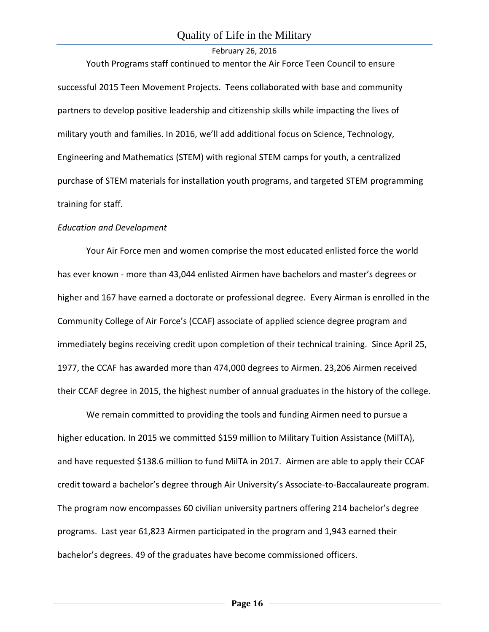## Quality of Life in the Military

## February 26, 2016

Youth Programs staff continued to mentor the Air Force Teen Council to ensure successful 2015 Teen Movement Projects. Teens collaborated with base and community partners to develop positive leadership and citizenship skills while impacting the lives of military youth and families. In 2016, we'll add additional focus on Science, Technology, Engineering and Mathematics (STEM) with regional STEM camps for youth, a centralized purchase of STEM materials for installation youth programs, and targeted STEM programming training for staff.

#### *Education and Development*

Your Air Force men and women comprise the most educated enlisted force the world has ever known - more than 43,044 enlisted Airmen have bachelors and master's degrees or higher and 167 have earned a doctorate or professional degree. Every Airman is enrolled in the Community College of Air Force's (CCAF) associate of applied science degree program and immediately begins receiving credit upon completion of their technical training. Since April 25, 1977, the CCAF has awarded more than 474,000 degrees to Airmen. 23,206 Airmen received their CCAF degree in 2015, the highest number of annual graduates in the history of the college.

We remain committed to providing the tools and funding Airmen need to pursue a higher education. In 2015 we committed \$159 million to Military Tuition Assistance (MilTA), and have requested \$138.6 million to fund MilTA in 2017. Airmen are able to apply their CCAF credit toward a bachelor's degree through Air University's Associate-to-Baccalaureate program. The program now encompasses 60 civilian university partners offering 214 bachelor's degree programs. Last year 61,823 Airmen participated in the program and 1,943 earned their bachelor's degrees. 49 of the graduates have become commissioned officers.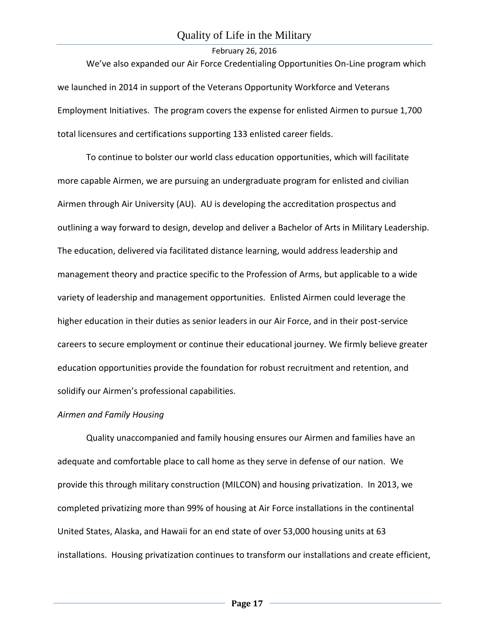We've also expanded our Air Force Credentialing Opportunities On-Line program which we launched in 2014 in support of the Veterans Opportunity Workforce and Veterans Employment Initiatives. The program covers the expense for enlisted Airmen to pursue 1,700 total licensures and certifications supporting 133 enlisted career fields.

To continue to bolster our world class education opportunities, which will facilitate more capable Airmen, we are pursuing an undergraduate program for enlisted and civilian Airmen through Air University (AU). AU is developing the accreditation prospectus and outlining a way forward to design, develop and deliver a Bachelor of Arts in Military Leadership. The education, delivered via facilitated distance learning, would address leadership and management theory and practice specific to the Profession of Arms, but applicable to a wide variety of leadership and management opportunities. Enlisted Airmen could leverage the higher education in their duties as senior leaders in our Air Force, and in their post-service careers to secure employment or continue their educational journey. We firmly believe greater education opportunities provide the foundation for robust recruitment and retention, and solidify our Airmen's professional capabilities.

#### *Airmen and Family Housing*

Quality unaccompanied and family housing ensures our Airmen and families have an adequate and comfortable place to call home as they serve in defense of our nation. We provide this through military construction (MILCON) and housing privatization. In 2013, we completed privatizing more than 99% of housing at Air Force installations in the continental United States, Alaska, and Hawaii for an end state of over 53,000 housing units at 63 installations. Housing privatization continues to transform our installations and create efficient,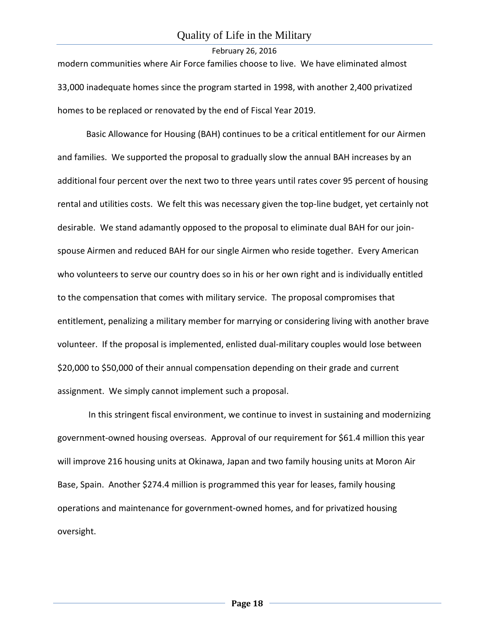modern communities where Air Force families choose to live. We have eliminated almost 33,000 inadequate homes since the program started in 1998, with another 2,400 privatized homes to be replaced or renovated by the end of Fiscal Year 2019.

Basic Allowance for Housing (BAH) continues to be a critical entitlement for our Airmen and families. We supported the proposal to gradually slow the annual BAH increases by an additional four percent over the next two to three years until rates cover 95 percent of housing rental and utilities costs. We felt this was necessary given the top-line budget, yet certainly not desirable. We stand adamantly opposed to the proposal to eliminate dual BAH for our joinspouse Airmen and reduced BAH for our single Airmen who reside together. Every American who volunteers to serve our country does so in his or her own right and is individually entitled to the compensation that comes with military service. The proposal compromises that entitlement, penalizing a military member for marrying or considering living with another brave volunteer. If the proposal is implemented, enlisted dual-military couples would lose between \$20,000 to \$50,000 of their annual compensation depending on their grade and current assignment. We simply cannot implement such a proposal.

In this stringent fiscal environment, we continue to invest in sustaining and modernizing government-owned housing overseas. Approval of our requirement for \$61.4 million this year will improve 216 housing units at Okinawa, Japan and two family housing units at Moron Air Base, Spain. Another \$274.4 million is programmed this year for leases, family housing operations and maintenance for government-owned homes, and for privatized housing oversight.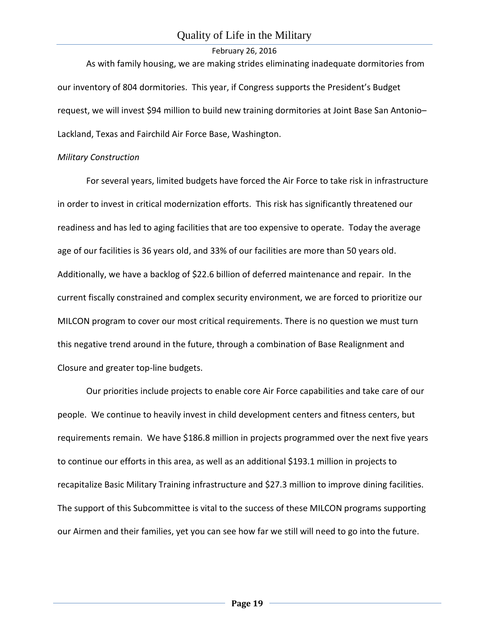As with family housing, we are making strides eliminating inadequate dormitories from our inventory of 804 dormitories. This year, if Congress supports the President's Budget request, we will invest \$94 million to build new training dormitories at Joint Base San Antonio– Lackland, Texas and Fairchild Air Force Base, Washington.

## *Military Construction*

For several years, limited budgets have forced the Air Force to take risk in infrastructure in order to invest in critical modernization efforts. This risk has significantly threatened our readiness and has led to aging facilities that are too expensive to operate. Today the average age of our facilities is 36 years old, and 33% of our facilities are more than 50 years old. Additionally, we have a backlog of \$22.6 billion of deferred maintenance and repair. In the current fiscally constrained and complex security environment, we are forced to prioritize our MILCON program to cover our most critical requirements. There is no question we must turn this negative trend around in the future, through a combination of Base Realignment and Closure and greater top-line budgets.

Our priorities include projects to enable core Air Force capabilities and take care of our people. We continue to heavily invest in child development centers and fitness centers, but requirements remain. We have \$186.8 million in projects programmed over the next five years to continue our efforts in this area, as well as an additional \$193.1 million in projects to recapitalize Basic Military Training infrastructure and \$27.3 million to improve dining facilities. The support of this Subcommittee is vital to the success of these MILCON programs supporting our Airmen and their families, yet you can see how far we still will need to go into the future.